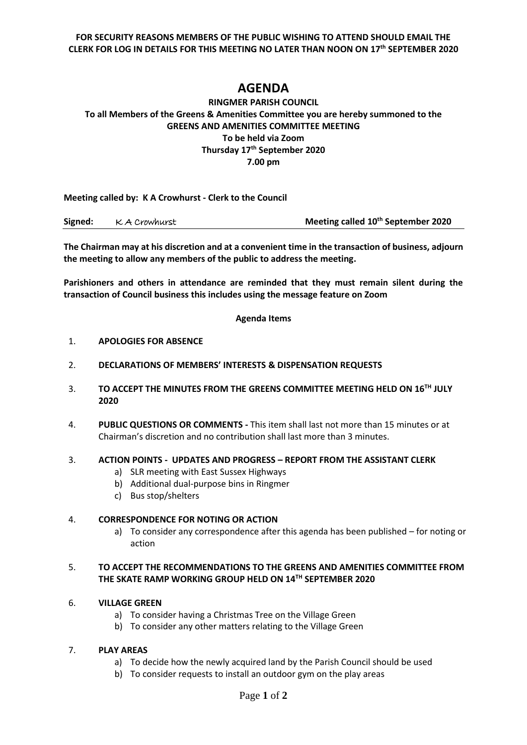**FOR SECURITY REASONS MEMBERS OF THE PUBLIC WISHING TO ATTEND SHOULD EMAIL THE CLERK FOR LOG IN DETAILS FOR THIS MEETING NO LATER THAN NOON ON 17th SEPTEMBER 2020**

# **AGENDA**

# **RINGMER PARISH COUNCIL To all Members of the Greens & Amenities Committee you are hereby summoned to the GREENS AND AMENITIES COMMITTEE MEETING To be held via Zoom Thursday 17th September 2020 7.00 pm**

**Meeting called by: K A Crowhurst - Clerk to the Council** 

| Signed: | K A Crowhurst | Meeting called 10 <sup>th</sup> September 2020 |
|---------|---------------|------------------------------------------------|
|---------|---------------|------------------------------------------------|

**The Chairman may at his discretion and at a convenient time in the transaction of business, adjourn the meeting to allow any members of the public to address the meeting.**

**Parishioners and others in attendance are reminded that they must remain silent during the transaction of Council business this includes using the message feature on Zoom**

#### **Agenda Items**

- 1. **APOLOGIES FOR ABSENCE**
- 2. **DECLARATIONS OF MEMBERS' INTERESTS & DISPENSATION REQUESTS**
- 3. **TO ACCEPT THE MINUTES FROM THE GREENS COMMITTEE MEETING HELD ON 16TH JULY 2020**
- 4. **PUBLIC QUESTIONS OR COMMENTS -** This item shall last not more than 15 minutes or at Chairman's discretion and no contribution shall last more than 3 minutes.

## 3. **ACTION POINTS - UPDATES AND PROGRESS – REPORT FROM THE ASSISTANT CLERK**

- a) SLR meeting with East Sussex Highways
- b) Additional dual-purpose bins in Ringmer
- c) Bus stop/shelters

## 4. **CORRESPONDENCE FOR NOTING OR ACTION**

a) To consider any correspondence after this agenda has been published – for noting or action

# 5. **TO ACCEPT THE RECOMMENDATIONS TO THE GREENS AND AMENITIES COMMITTEE FROM THE SKATE RAMP WORKING GROUP HELD ON 14TH SEPTEMBER 2020**

## 6. **VILLAGE GREEN**

- a) To consider having a Christmas Tree on the Village Green
- b) To consider any other matters relating to the Village Green

## 7. **PLAY AREAS**

- a) To decide how the newly acquired land by the Parish Council should be used
- b) To consider requests to install an outdoor gym on the play areas